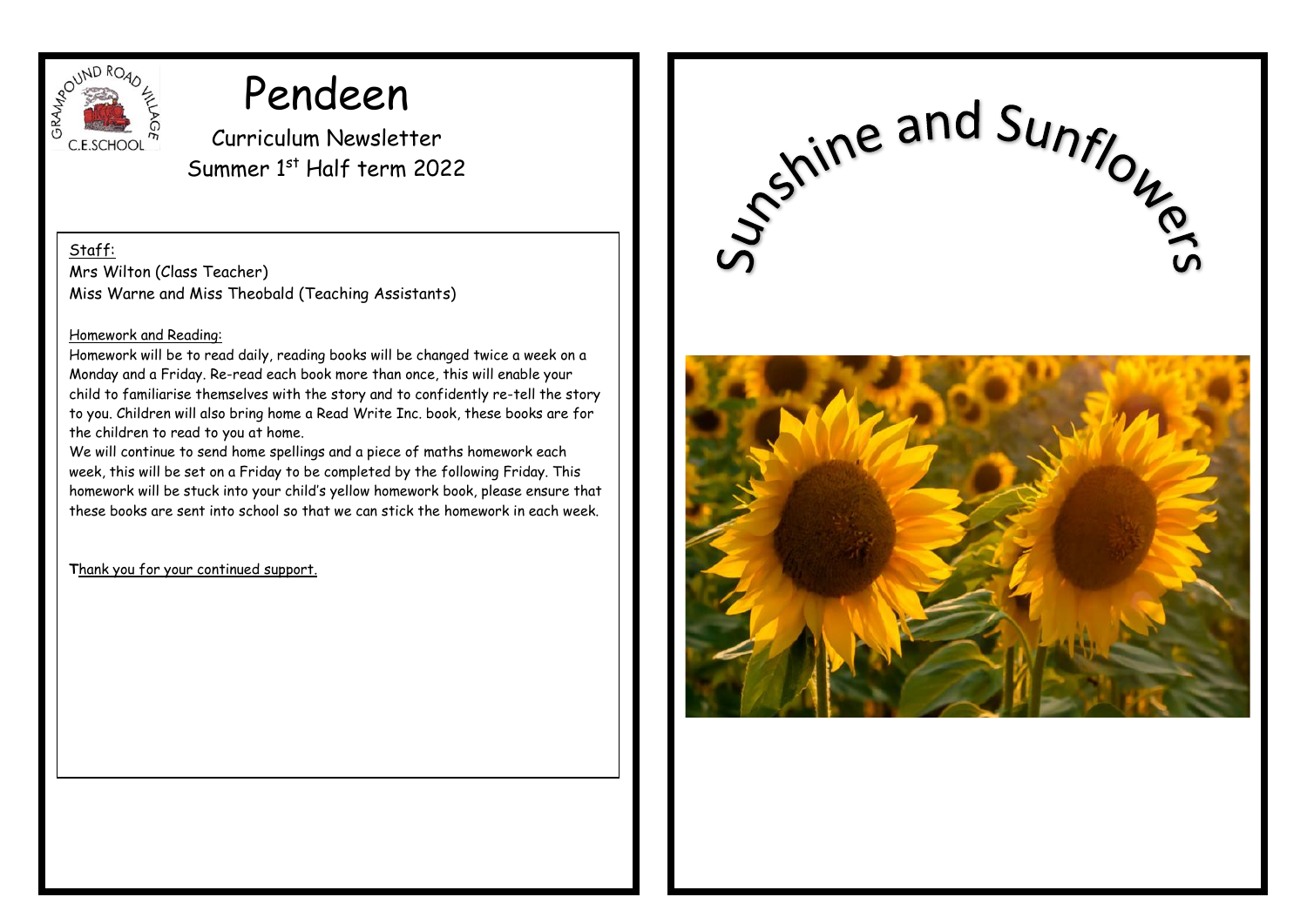

# Pendeen

Curriculum Newsletter Summer 1st Half term 2022

Staff:

Mrs Wilton (Class Teacher) Miss Warne and Miss Theobald (Teaching Assistants)

#### Homework and Reading:

Homework will be to read daily, reading books will be changed twice a week on a Monday and a Friday. Re-read each book more than once, this will enable your child to familiarise themselves with the story and to confidently re-tell the story to you. Children will also bring home a Read Write Inc. book, these books are for the children to read to you at home.

We will continue to send home spellings and a piece of maths homework each week, this will be set on a Friday to be completed by the following Friday. This homework will be stuck into your child's yellow homework book, please ensure that these books are sent into school so that we can stick the homework in each week.

**T**hank you for your continued support.

Sshine and Sunflows